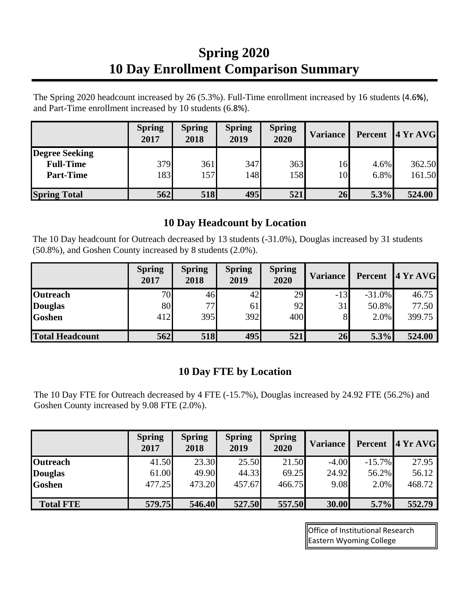## **Spring 2020 10 Day Enrollment Comparison Summary**

The Spring 2020 headcount increased by 26 (5.3%). Full-Time enrollment increased by 16 students (4.6**%**), and Part-Time enrollment increased by 10 students (6.8%).

|                       | <b>Spring</b><br>2017 | <b>Spring</b><br>2018 | <b>Spring</b><br>2019 | <b>Spring</b><br>2020 | <b>Variance</b> | Percent | 4YrAVG |
|-----------------------|-----------------------|-----------------------|-----------------------|-----------------------|-----------------|---------|--------|
| <b>Degree Seeking</b> |                       |                       |                       |                       |                 |         |        |
| <b>Full-Time</b>      | 379                   | 361                   | 347                   | 363                   | 16              | 4.6%    | 362.50 |
| <b>Part-Time</b>      | 183                   | 157                   | 148                   | 158                   | 10              | 6.8%    | 161.50 |
| <b>Spring Total</b>   | 562                   | <b>518</b>            | 495                   | 521                   | 26              | 5.3%    | 524.00 |

## **10 Day Headcount by Location**

The 10 Day headcount for Outreach decreased by 13 students (-31.0%), Douglas increased by 31 students (50.8%), and Goshen County increased by 8 students (2.0%).

|                        | <b>Spring</b><br>2017 | <b>Spring</b><br>2018 | <b>Spring</b><br>2019 | <b>Spring</b><br>2020 | <b>Variance</b> | Percent  | 4 Yr AVG |
|------------------------|-----------------------|-----------------------|-----------------------|-----------------------|-----------------|----------|----------|
| <b>Outreach</b>        | 70                    | 46                    | 42                    | 29                    | $-13$           | $-31.0%$ | 46.75    |
| <b>Douglas</b>         | 80                    | 77                    | 61                    | 92                    | 31              | 50.8%    | 77.50    |
| <b>Goshen</b>          | 412                   | 395                   | 392                   | 400                   | 8               | 2.0%     | 399.75   |
| <b>Total Headcount</b> | 562                   | <b>518</b>            | 495                   | 521                   | 26              | 5.3%     | 524.00   |

## **10 Day FTE by Location**

The 10 Day FTE for Outreach decreased by 4 FTE (-15.7%), Douglas increased by 24.92 FTE (56.2%) and Goshen County increased by 9.08 FTE (2.0%).

|                  | <b>Spring</b><br>2017 | <b>Spring</b><br>2018 | <b>Spring</b><br>2019 | <b>Spring</b><br>2020 | <b>Variance</b> | <b>Percent</b> | <b>4 Yr AVG</b> |
|------------------|-----------------------|-----------------------|-----------------------|-----------------------|-----------------|----------------|-----------------|
| <b>Outreach</b>  | 41.50                 | 23.30                 | 25.50                 | 21.50                 | $-4.00$         | $-15.7\%$      | 27.95           |
| <b>Douglas</b>   | 61.00                 | 49.90                 | 44.33                 | 69.25                 | 24.92           | 56.2%          | 56.12           |
| <b>Goshen</b>    | 477.25                | 473.20                | 457.67                | 466.75                | 9.08            | 2.0%           | 468.72          |
| <b>Total FTE</b> | 579.75                | 546.40                | 527.50                | 557.50                | 30.00           | 5.7%           | 552.79          |

Office of Institutional Research Eastern Wyoming College